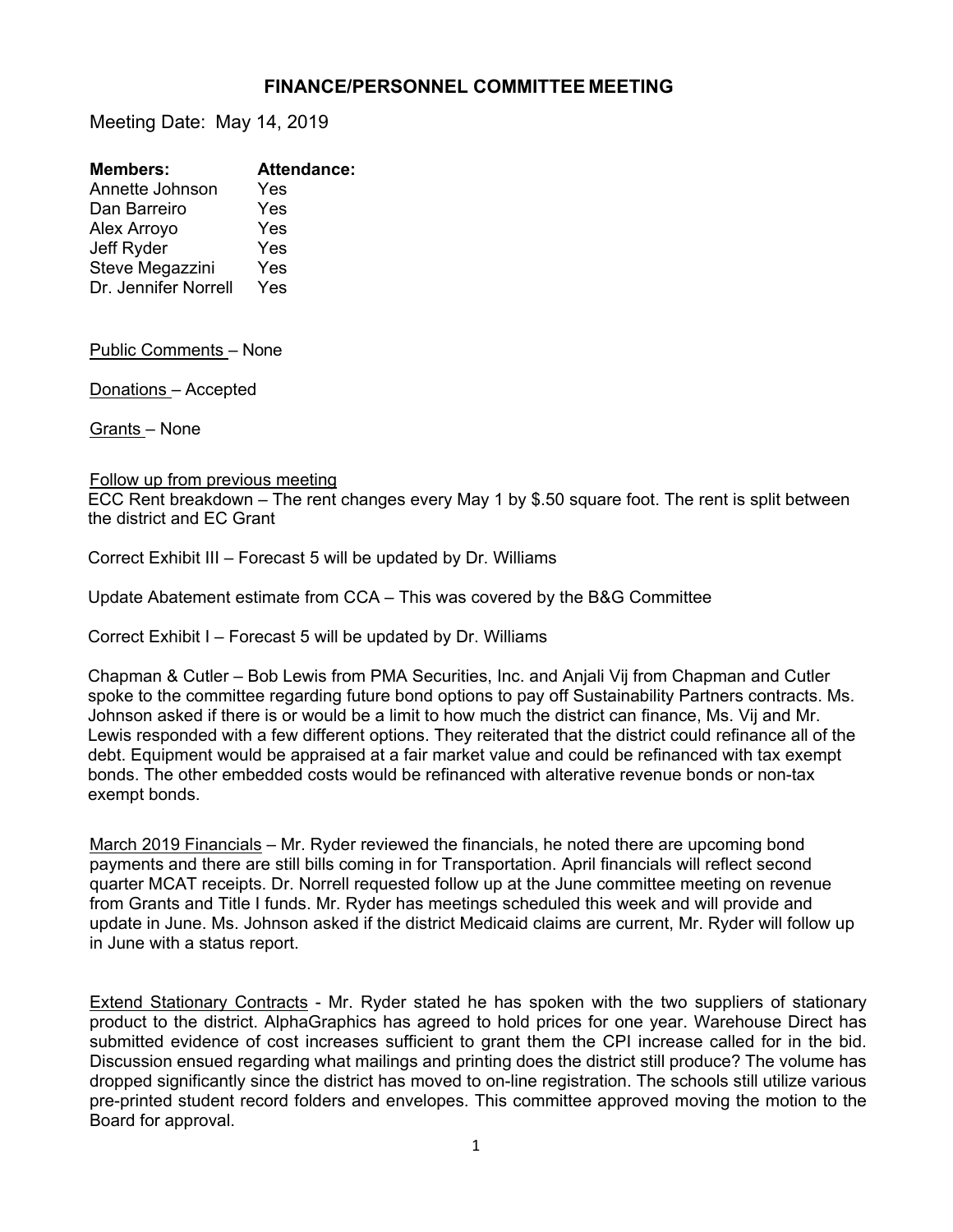## **FINANCE/PERSONNEL COMMITTEE MEETING**

Meeting Date: May 14, 2019

| <b>Members:</b>      | <b>Attendance:</b> |
|----------------------|--------------------|
| Annette Johnson      | Yes                |
| Dan Barreiro         | Yes                |
| Alex Arroyo          | Yes                |
| Jeff Ryder           | Yes                |
| Steve Megazzini      | Yes                |
| Dr. Jennifer Norrell | Yes                |
|                      |                    |

Public Comments – None

Donations – Accepted

Grants – None

## Follow up from previous meeting

ECC Rent breakdown – The rent changes every May 1 by \$.50 square foot. The rent is split between the district and EC Grant

Correct Exhibit III – Forecast 5 will be updated by Dr. Williams

Update Abatement estimate from CCA – This was covered by the B&G Committee

Correct Exhibit I – Forecast 5 will be updated by Dr. Williams

Chapman & Cutler – Bob Lewis from PMA Securities, Inc. and Anjali Vij from Chapman and Cutler spoke to the committee regarding future bond options to pay off Sustainability Partners contracts. Ms. Johnson asked if there is or would be a limit to how much the district can finance, Ms. Vij and Mr. Lewis responded with a few different options. They reiterated that the district could refinance all of the debt. Equipment would be appraised at a fair market value and could be refinanced with tax exempt bonds. The other embedded costs would be refinanced with alterative revenue bonds or non-tax exempt bonds.

March 2019 Financials – Mr. Ryder reviewed the financials, he noted there are upcoming bond payments and there are still bills coming in for Transportation. April financials will reflect second quarter MCAT receipts. Dr. Norrell requested follow up at the June committee meeting on revenue from Grants and Title I funds. Mr. Ryder has meetings scheduled this week and will provide and update in June. Ms. Johnson asked if the district Medicaid claims are current, Mr. Ryder will follow up in June with a status report.

Extend Stationary Contracts - Mr. Ryder stated he has spoken with the two suppliers of stationary product to the district. AlphaGraphics has agreed to hold prices for one year. Warehouse Direct has submitted evidence of cost increases sufficient to grant them the CPI increase called for in the bid. Discussion ensued regarding what mailings and printing does the district still produce? The volume has dropped significantly since the district has moved to on-line registration. The schools still utilize various pre-printed student record folders and envelopes. This committee approved moving the motion to the Board for approval.